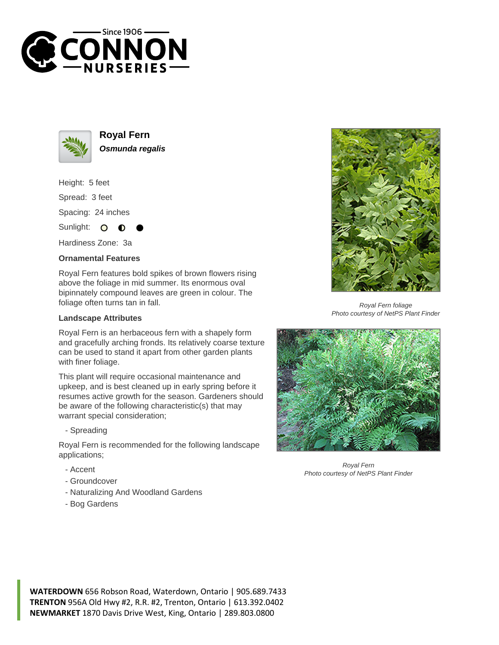



**Royal Fern Osmunda regalis**

Height: 5 feet Spread: 3 feet Spacing: 24 inches Sunlight: O

Hardiness Zone: 3a

## **Ornamental Features**

Royal Fern features bold spikes of brown flowers rising above the foliage in mid summer. Its enormous oval bipinnately compound leaves are green in colour. The foliage often turns tan in fall.

## **Landscape Attributes**

Royal Fern is an herbaceous fern with a shapely form and gracefully arching fronds. Its relatively coarse texture can be used to stand it apart from other garden plants with finer foliage.

This plant will require occasional maintenance and upkeep, and is best cleaned up in early spring before it resumes active growth for the season. Gardeners should be aware of the following characteristic(s) that may warrant special consideration;

- Spreading

Royal Fern is recommended for the following landscape applications;

- Accent
- Groundcover
- Naturalizing And Woodland Gardens
- Bog Gardens



Royal Fern foliage Photo courtesy of NetPS Plant Finder



Royal Fern Photo courtesy of NetPS Plant Finder